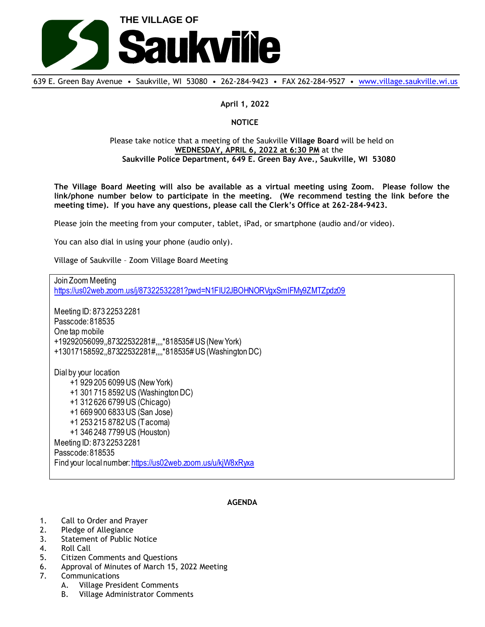

639 E. Green Bay Avenue • Saukville, WI 53080 • 262-284-9423 • FAX 262-284-9527 • [www.village.saukville.wi.us](http://www.village.saukville.wi.us/)

**April 1, 2022**

## **NOTICE**

## Please take notice that a meeting of the Saukville **Village Board** will be held on **WEDNESDAY, APRIL 6, 2022 at 6:30 PM** at the **Saukville Police Department, 649 E. Green Bay Ave., Saukville, WI 53080**

**The Village Board Meeting will also be available as a virtual meeting using Zoom. Please follow the link/phone number below to participate in the meeting. (We recommend testing the link before the meeting time). If you have any questions, please call the Clerk's Office at 262-284-9423.**

Please join the meeting from your computer, tablet, iPad, or smartphone (audio and/or video).

You can also dial in using your phone (audio only).

Village of Saukville – Zoom Village Board Meeting

Join Zoom Meeting https://us02web.zoom.us/j/87322532281?pwd=N1FIU2JBOHNORVgxSmlFMy9ZMTZpdz09 Meeting ID: 873 2253 2281 Passcode: 818535 One tap mobile +19292056099,,87322532281#,,,,\*818535# US (New York) +13017158592,,87322532281#,,,,\*818535# US (Washington DC) Dial by your location +1 929 205 6099 US (New York) +1 301 715 8592 US (Washington DC) +1 312 626 6799 US (Chicago) +1 669 900 6833 US (San Jose) +1 253 215 8782 US (Tacoma) +1 346 248 7799 US (Houston) Meeting ID: 873 2253 2281 Passcode: 818535 Find your local number: https://us02web.zoom.us/u/kjW8xRyxa

## **AGENDA**

- 1. Call to Order and Prayer
- 2. Pledge of Allegiance
- 3. Statement of Public Notice
- 4. Roll Call
- 5. Citizen Comments and Questions
- 6. Approval of Minutes of March 15, 2022 Meeting
- 7. Communications
	- A. Village President Comments
	- B. Village Administrator Comments